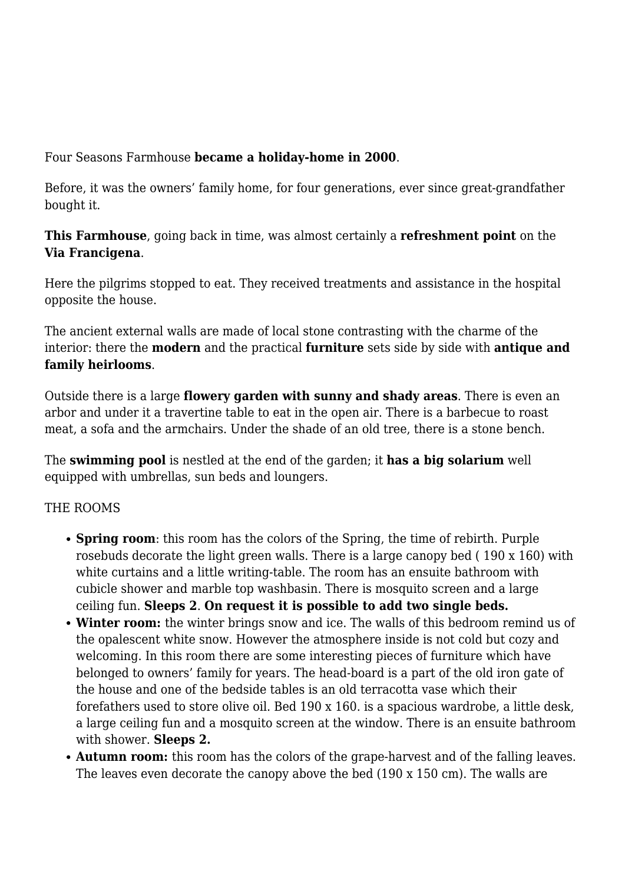Four Seasons Farmhouse **became a holiday-home in 2000**.

Before, it was the owners' family home, for four generations, ever since great-grandfather bought it.

**This Farmhouse**, going back in time, was almost certainly a **refreshment point** on the **Via Francigena**.

Here the pilgrims stopped to eat. They received treatments and assistance in the hospital opposite the house.

The ancient external walls are made of local stone contrasting with the charme of the interior: there the **modern** and the practical **furniture** sets side by side with **antique and family heirlooms**.

Outside there is a large **flowery garden with sunny and shady areas**. There is even an arbor and under it a travertine table to eat in the open air. There is a barbecue to roast meat, a sofa and the armchairs. Under the shade of an old tree, there is a stone bench.

The **swimming pool** is nestled at the end of the garden; it **has a big solarium** well equipped with umbrellas, sun beds and loungers.

## THE ROOMS

- **Spring room**: this room has the colors of the Spring, the time of rebirth. Purple rosebuds decorate the light green walls. There is a large canopy bed ( 190 x 160) with white curtains and a little writing-table. The room has an ensuite bathroom with cubicle shower and marble top washbasin. There is mosquito screen and a large ceiling fun. **Sleeps 2**. **On request it is possible to add two single beds.**
- **Winter room:** the winter brings snow and ice. The walls of this bedroom remind us of the opalescent white snow. However the atmosphere inside is not cold but cozy and welcoming. In this room there are some interesting pieces of furniture which have belonged to owners' family for years. The head-board is a part of the old iron gate of the house and one of the bedside tables is an old terracotta vase which their forefathers used to store olive oil. Bed 190 x 160. is a spacious wardrobe, a little desk, a large ceiling fun and a mosquito screen at the window. There is an ensuite bathroom with shower. **Sleeps 2.**
- **Autumn room:** this room has the colors of the grape-harvest and of the falling leaves. The leaves even decorate the canopy above the bed (190 x 150 cm). The walls are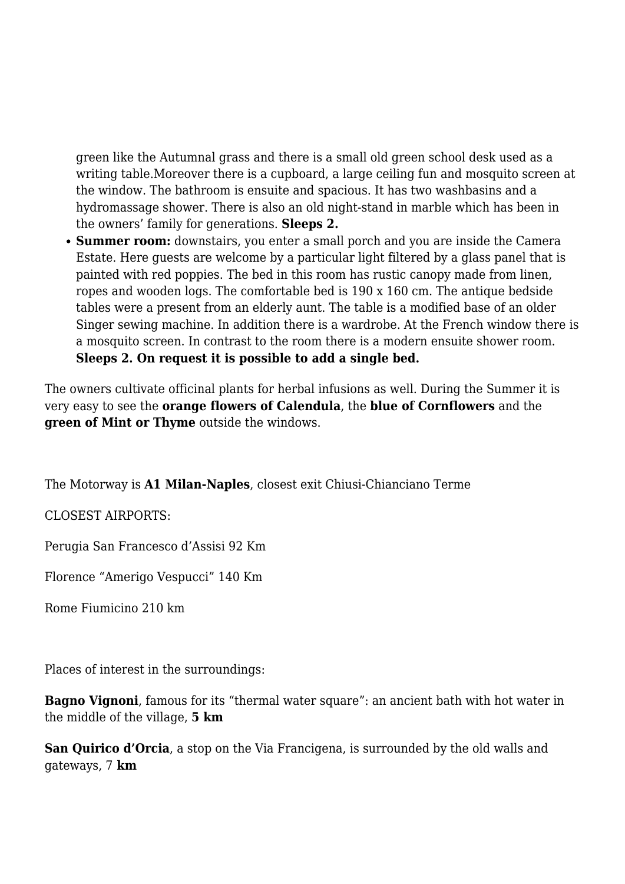green like the Autumnal grass and there is a small old green school desk used as a writing table.Moreover there is a cupboard, a large ceiling fun and mosquito screen at the window. The bathroom is ensuite and spacious. It has two washbasins and a hydromassage shower. There is also an old night-stand in marble which has been in the owners' family for generations. **Sleeps 2.**

**Summer room:** downstairs, you enter a small porch and you are inside the Camera Estate. Here guests are welcome by a particular light filtered by a glass panel that is painted with red poppies. The bed in this room has rustic canopy made from linen, ropes and wooden logs. The comfortable bed is 190 x 160 cm. The antique bedside tables were a present from an elderly aunt. The table is a modified base of an older Singer sewing machine. In addition there is a wardrobe. At the French window there is a mosquito screen. In contrast to the room there is a modern ensuite shower room. **Sleeps 2. On request it is possible to add a single bed.**

The owners cultivate officinal plants for herbal infusions as well. During the Summer it is very easy to see the **orange flowers of Calendula**, the **blue of Cornflowers** and the **green of Mint or Thyme** outside the windows.

The Motorway is **A1 Milan-Naples**, closest exit Chiusi-Chianciano Terme

CLOSEST AIRPORTS:

Perugia San Francesco d'Assisi 92 Km

Florence "Amerigo Vespucci" 140 Km

Rome Fiumicino 210 km

Places of interest in the surroundings:

**Bagno Vignoni**, famous for its "thermal water square": an ancient bath with hot water in the middle of the village, **5 km**

**San Quirico d'Orcia**, a stop on the Via Francigena, is surrounded by the old walls and gateways, 7 **km**